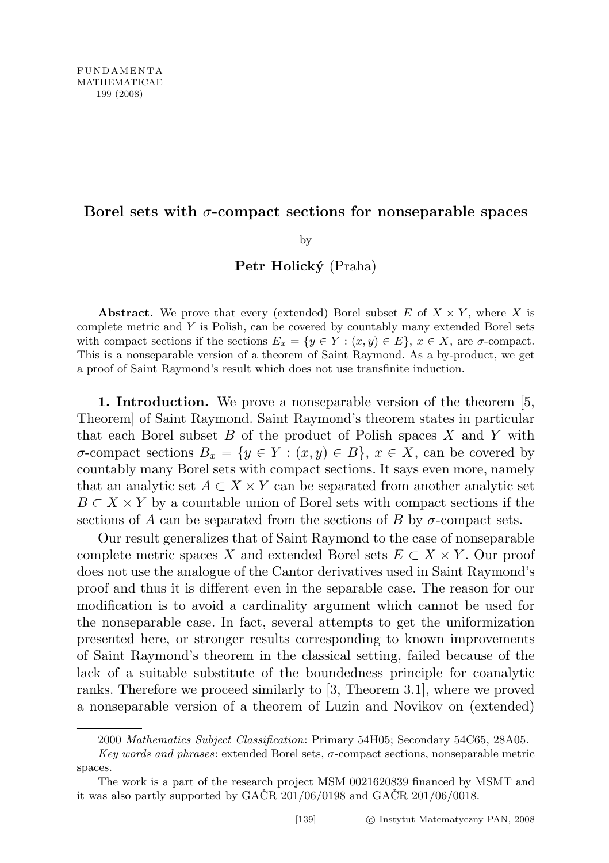## Borel sets with  $\sigma$ -compact sections for nonseparable spaces

by

Petr Holický (Praha)

Abstract. We prove that every (extended) Borel subset  $E$  of  $X \times Y$ , where X is complete metric and Y is Polish, can be covered by countably many extended Borel sets with compact sections if the sections  $E_x = \{y \in Y : (x, y) \in E\}$ ,  $x \in X$ , are  $\sigma$ -compact. This is a nonseparable version of a theorem of Saint Raymond. As a by-product, we get a proof of Saint Raymond's result which does not use transfinite induction.

1. Introduction. We prove a nonseparable version of the theorem [5, Theorem] of Saint Raymond. Saint Raymond's theorem states in particular that each Borel subset  $B$  of the product of Polish spaces  $X$  and  $Y$  with  $σ$ -compact sections  $B_x = {y ∈ Y : (x, y) ∈ B}$ ,  $x ∈ X$ , can be covered by countably many Borel sets with compact sections. It says even more, namely that an analytic set  $A \subset X \times Y$  can be separated from another analytic set  $B \subset X \times Y$  by a countable union of Borel sets with compact sections if the sections of A can be separated from the sections of B by  $\sigma$ -compact sets.

Our result generalizes that of Saint Raymond to the case of nonseparable complete metric spaces X and extended Borel sets  $E \subset X \times Y$ . Our proof does not use the analogue of the Cantor derivatives used in Saint Raymond's proof and thus it is different even in the separable case. The reason for our modification is to avoid a cardinality argument which cannot be used for the nonseparable case. In fact, several attempts to get the uniformization presented here, or stronger results corresponding to known improvements of Saint Raymond's theorem in the classical setting, failed because of the lack of a suitable substitute of the boundedness principle for coanalytic ranks. Therefore we proceed similarly to [3, Theorem 3.1], where we proved a nonseparable version of a theorem of Luzin and Novikov on (extended)

<sup>2000</sup> Mathematics Subject Classification: Primary 54H05; Secondary 54C65, 28A05.

Key words and phrases: extended Borel sets,  $\sigma$ -compact sections, nonseparable metric spaces.

The work is a part of the research project MSM 0021620839 financed by MSMT and it was also partly supported by  $GACR$  201/06/0198 and  $GACR$  201/06/0018.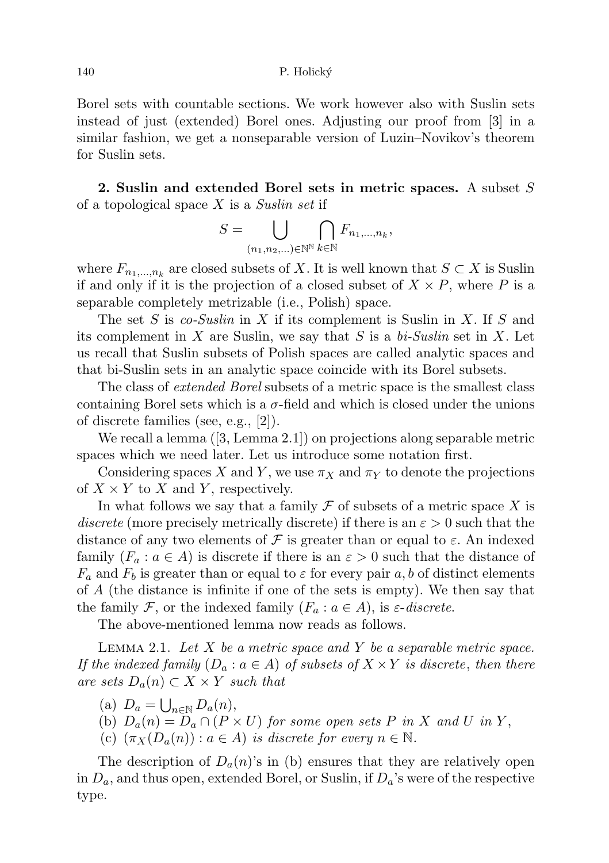Borel sets with countable sections. We work however also with Suslin sets instead of just (extended) Borel ones. Adjusting our proof from [3] in a similar fashion, we get a nonseparable version of Luzin–Novikov's theorem for Suslin sets.

2. Suslin and extended Borel sets in metric spaces. A subset S of a topological space  $X$  is a Suslin set if

$$
S = \bigcup_{(n_1, n_2, \ldots) \in \mathbb{N}^{\mathbb{N}}} \bigcap_{k \in \mathbb{N}} F_{n_1, \ldots, n_k},
$$

where  $F_{n_1,\dots,n_k}$  are closed subsets of X. It is well known that  $S \subset X$  is Suslin if and only if it is the projection of a closed subset of  $X \times P$ , where P is a separable completely metrizable (i.e., Polish) space.

The set S is co-Suslin in X if its complement is Suslin in X. If S and its complement in X are Suslin, we say that S is a bi-Suslin set in X. Let us recall that Suslin subsets of Polish spaces are called analytic spaces and that bi-Suslin sets in an analytic space coincide with its Borel subsets.

The class of *extended Borel* subsets of a metric space is the smallest class containing Borel sets which is a  $\sigma$ -field and which is closed under the unions of discrete families (see, e.g., [2]).

We recall a lemma ([3, Lemma 2.1]) on projections along separable metric spaces which we need later. Let us introduce some notation first.

Considering spaces X and Y, we use  $\pi_X$  and  $\pi_Y$  to denote the projections of  $X \times Y$  to X and Y, respectively.

In what follows we say that a family  $\mathcal F$  of subsets of a metric space X is discrete (more precisely metrically discrete) if there is an  $\varepsilon > 0$  such that the distance of any two elements of  $\mathcal F$  is greater than or equal to  $\varepsilon$ . An indexed family  $(F_a : a \in A)$  is discrete if there is an  $\varepsilon > 0$  such that the distance of  $F_a$  and  $F_b$  is greater than or equal to  $\varepsilon$  for every pair  $a, b$  of distinct elements of A (the distance is infinite if one of the sets is empty). We then say that the family F, or the indexed family  $(F_a : a \in A)$ , is  $\varepsilon$ -discrete.

The above-mentioned lemma now reads as follows.

LEMMA 2.1. Let  $X$  be a metric space and  $Y$  be a separable metric space. If the indexed family  $(D_a : a \in A)$  of subsets of  $X \times Y$  is discrete, then there are sets  $D_a(n) \subset X \times Y$  such that

- (a)  $D_a = \bigcup_{n \in \mathbb{N}} D_a(n)$ ,
- (b)  $D_a(n) = D_a \cap (P \times U)$  for some open sets P in X and U in Y,
- (c)  $(\pi_X(D_a(n)) : a \in A)$  is discrete for every  $n \in \mathbb{N}$ .

The description of  $D_a(n)$ 's in (b) ensures that they are relatively open in  $D_a$ , and thus open, extended Borel, or Suslin, if  $D_a$ 's were of the respective type.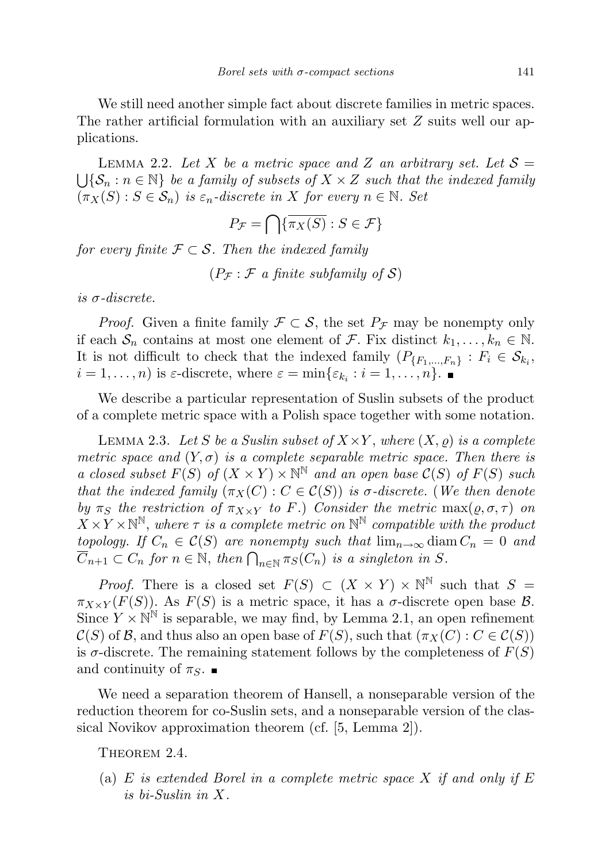We still need another simple fact about discrete families in metric spaces. The rather artificial formulation with an auxiliary set Z suits well our applications.

LEMMA 2.2. Let X be a metric space and Z an arbitrary set. Let  $S =$  $\bigcup {\mathcal{S}_n : n \in \mathbb{N}}$  be a family of subsets of  $X \times Z$  such that the indexed family  $(\pi_X(S) : S \in \mathcal{S}_n)$  is  $\varepsilon_n$ -discrete in X for every  $n \in \mathbb{N}$ . Set

$$
P_{\mathcal{F}} = \bigcap \{ \overline{\pi_X(S)} : S \in \mathcal{F} \}
$$

for every finite  $\mathcal{F} \subset \mathcal{S}$ . Then the indexed family

 $(P_{\mathcal{F}} : \mathcal{F}$  a finite subfamily of S)

is  $\sigma$ -discrete.

*Proof.* Given a finite family  $\mathcal{F} \subset \mathcal{S}$ , the set  $P_{\mathcal{F}}$  may be nonempty only if each  $S_n$  contains at most one element of F. Fix distinct  $k_1, \ldots, k_n \in \mathbb{N}$ . It is not difficult to check that the indexed family  $(P_{\{F_1,\ldots,F_n\}}: F_i \in \mathcal{S}_{k_i},$  $i = 1, \ldots, n$  is  $\varepsilon$ -discrete, where  $\varepsilon = \min\{\varepsilon_{k_i} : i = 1, \ldots, n\}.$ 

We describe a particular representation of Suslin subsets of the product of a complete metric space with a Polish space together with some notation.

LEMMA 2.3. Let S be a Suslin subset of  $X \times Y$ , where  $(X, \rho)$  is a complete metric space and  $(Y, \sigma)$  is a complete separable metric space. Then there is a closed subset  $F(S)$  of  $(X \times Y) \times \mathbb{N}^{\mathbb{N}}$  and an open base  $\mathcal{C}(S)$  of  $F(S)$  such that the indexed family  $(\pi_X(C) : C \in C(S))$  is  $\sigma$ -discrete. (We then denote by  $\pi_S$  the restriction of  $\pi_{X\times Y}$  to F.) Consider the metric max( $\rho, \sigma, \tau$ ) on  $X \times Y \times \mathbb{N}^{\mathbb{N}}$ , where  $\tau$  is a complete metric on  $\mathbb{N}^{\mathbb{N}}$  compatible with the product topology. If  $C_n \in \mathcal{C}(S)$  are nonempty such that  $\lim_{n\to\infty} \text{diam } C_n = 0$  and  $\overline{C}_{n+1} \subset C_n$  for  $n \in \mathbb{N}$ , then  $\bigcap_{n \in \mathbb{N}} \pi_S(C_n)$  is a singleton in S.

*Proof.* There is a closed set  $F(S) \subset (X \times Y) \times \mathbb{N}^{\mathbb{N}}$  such that  $S =$  $\pi_{X\times Y}(F(S))$ . As  $F(S)$  is a metric space, it has a  $\sigma$ -discrete open base B. Since  $Y \times \mathbb{N}^{\mathbb{N}}$  is separable, we may find, by Lemma 2.1, an open refinement  $\mathcal{C}(S)$  of B, and thus also an open base of  $F(S)$ , such that  $(\pi_X(C) : C \in \mathcal{C}(S))$ is  $\sigma$ -discrete. The remaining statement follows by the completeness of  $F(S)$ and continuity of  $\pi_S$ .

We need a separation theorem of Hansell, a nonseparable version of the reduction theorem for co-Suslin sets, and a nonseparable version of the classical Novikov approximation theorem (cf. [5, Lemma 2]).

THEOREM 2.4.

(a)  $E$  is extended Borel in a complete metric space  $X$  if and only if  $E$ is bi-Suslin in X.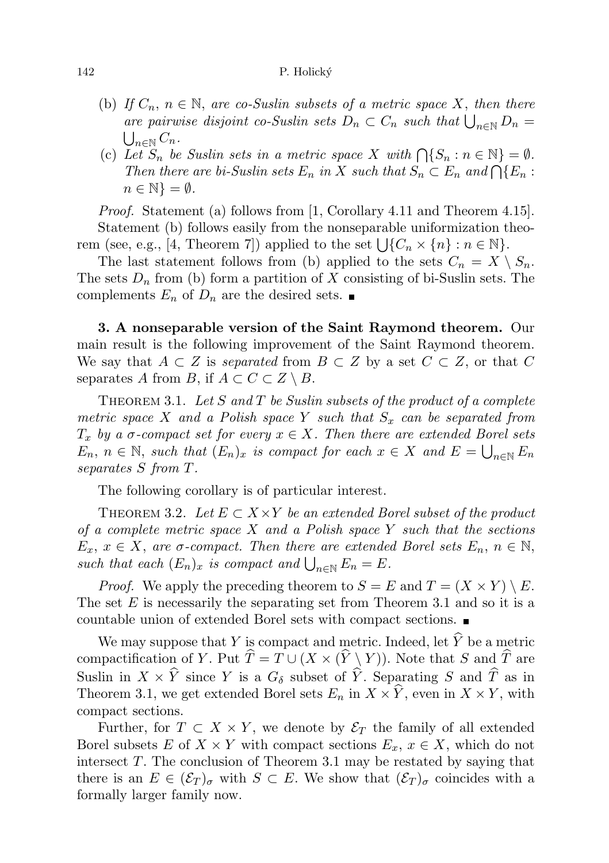## 142 P. Holický

- (b) If  $C_n$ ,  $n \in \mathbb{N}$ , are co-Suslin subsets of a metric space X, then there are pairwise disjoint co-Suslin sets  $D_n \subset C_n$  such that  $\bigcup_{n \in \mathbb{N}} D_n = \bigcup_{n \in \mathbb{N}} C_n$ .  $\bigcup_{n\in\mathbb{N}} C_n$ .
- (c) Let  $S_n$  be Suslin sets in a metric space X with  $\bigcap \{S_n : n \in \mathbb{N}\} = \emptyset$ . Then there are bi-Suslin sets  $E_n$  in X such that  $S_n \subset E_n$  and  $\bigcap \{E_n :$  $n \in \mathbb{N}$  =  $\emptyset$ .

Proof. Statement (a) follows from [1, Corollary 4.11 and Theorem 4.15]. Statement (b) follows easily from the nonseparable uniformization theorem (see, e.g., [4, Theorem 7]) applied to the set  $\bigcup \{C_n \times \{n\} : n \in \mathbb{N}\}.$ 

The last statement follows from (b) applied to the sets  $C_n = X \setminus S_n$ . The sets  $D_n$  from (b) form a partition of X consisting of bi-Suslin sets. The complements  $E_n$  of  $D_n$  are the desired sets.

3. A nonseparable version of the Saint Raymond theorem. Our main result is the following improvement of the Saint Raymond theorem. We say that  $A \subset Z$  is separated from  $B \subset Z$  by a set  $C \subset Z$ , or that C separates A from B, if  $A \subset C \subset Z \setminus B$ .

THEOREM 3.1. Let  $S$  and  $T$  be Suslin subsets of the product of a complete metric space X and a Polish space Y such that  $S_x$  can be separated from  $T_x$  by a  $\sigma$ -compact set for every  $x \in X$ . Then there are extended Borel sets  $E_n, n \in \mathbb{N}$ , such that  $(E_n)_x$  is compact for each  $x \in X$  and  $E = \bigcup_{n \in \mathbb{N}} E_n$ separates S from T.

The following corollary is of particular interest.

THEOREM 3.2. Let  $E \subset X \times Y$  be an extended Borel subset of the product of a complete metric space  $X$  and a Polish space  $Y$  such that the sections  $E_x, x \in X$ , are  $\sigma$ -compact. Then there are extended Borel sets  $E_n, n \in \mathbb{N}$ , such that each  $(E_n)_x$  is compact and  $\bigcup_{n\in\mathbb{N}} E_n = E$ .

*Proof.* We apply the preceding theorem to  $S = E$  and  $T = (X \times Y) \setminus E$ . The set  $E$  is necessarily the separating set from Theorem 3.1 and so it is a countable union of extended Borel sets with compact sections.

We may suppose that Y is compact and metric. Indeed, let  $\widehat{Y}$  be a metric compactification of Y. Put  $\hat{T} = T \cup (X \times (\hat{Y} \setminus Y))$ . Note that S and  $\hat{T}$  are Suslin in  $X \times \hat{Y}$  since Y is a  $G_{\delta}$  subset of  $\hat{Y}$ . Separating S and  $\hat{T}$  as in Theorem 3.1, we get extended Borel sets  $E_n$  in  $X \times \widehat{Y}$ , even in  $X \times Y$ , with compact sections.

Further, for  $T \subset X \times Y$ , we denote by  $\mathcal{E}_T$  the family of all extended Borel subsets E of  $X \times Y$  with compact sections  $E_x, x \in X$ , which do not intersect T. The conclusion of Theorem 3.1 may be restated by saying that there is an  $E \in (\mathcal{E}_T)_{\sigma}$  with  $S \subset E$ . We show that  $(\mathcal{E}_T)_{\sigma}$  coincides with a formally larger family now.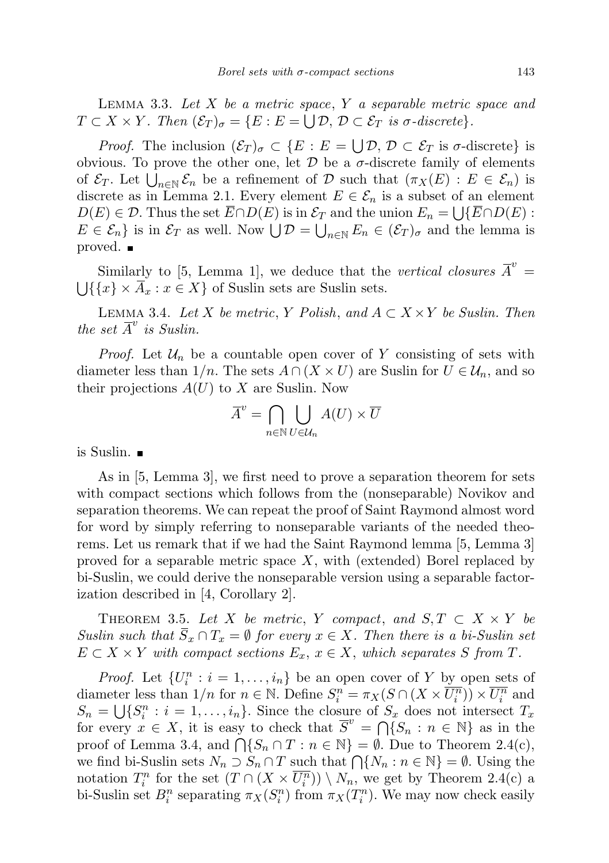LEMMA 3.3. Let  $X$  be a metric space,  $Y$  a separable metric space and  $T \subset X \times Y$ . Then  $(\mathcal{E}_T)_{\sigma} = \{E : E = \bigcup \mathcal{D}, \mathcal{D} \subset \mathcal{E}_T \text{ is } \sigma\text{-discrete}\}.$ 

*Proof.* The inclusion  $(\mathcal{E}_T)_{\sigma} \subset \{E : E = \bigcup \mathcal{D}, \mathcal{D} \subset \mathcal{E}_T \text{ is } \sigma\text{-discrete}\}\$ obvious. To prove the other one, let  $\mathcal D$  be a  $\sigma$ -discrete family of elements of  $\mathcal{E}_T$ . Let  $\bigcup_{n\in\mathbb{N}}\mathcal{E}_n$  be a refinement of D such that  $(\pi_X(E) : E \in \mathcal{E}_n)$  is discrete as in Lemma 2.1. Every element  $E \in \mathcal{E}_n$  is a subset of an element  $D(E) \in \mathcal{D}$ . Thus the set  $E \cap D(E)$  is in  $\mathcal{E}_T$  and the union  $E_n = \bigcup \{ \overline{E} \cap D(E) :$  $E \in \mathcal{E}_n$  is in  $\mathcal{E}_T$  as well. Now  $\bigcup \mathcal{D} = \bigcup_{n \in \mathbb{N}} E_n \in (\mathcal{E}_T)_{\sigma}$  and the lemma is proved. ■

Similarly to [5, Lemma 1], we deduce that the vertical closures  $\overline{A}^v$  =  $\bigcup \{\{x\} \times A_x : x \in X\}$  of Suslin sets are Suslin sets.

LEMMA 3.4. Let X be metric, Y Polish, and  $A \subset X \times Y$  be Suslin. Then the set  $\overline{A}^v$  is Suslin.

*Proof.* Let  $\mathcal{U}_n$  be a countable open cover of Y consisting of sets with diameter less than  $1/n$ . The sets  $A \cap (X \times U)$  are Suslin for  $U \in \mathcal{U}_n$ , and so their projections  $A(U)$  to X are Suslin. Now

$$
\overline{A}^v = \bigcap_{n \in \mathbb{N}} \bigcup_{U \in \mathcal{U}_n} A(U) \times \overline{U}
$$

is Suslin.

As in [5, Lemma 3], we first need to prove a separation theorem for sets with compact sections which follows from the (nonseparable) Novikov and separation theorems. We can repeat the proof of Saint Raymond almost word for word by simply referring to nonseparable variants of the needed theorems. Let us remark that if we had the Saint Raymond lemma [5, Lemma 3] proved for a separable metric space  $X$ , with (extended) Borel replaced by bi-Suslin, we could derive the nonseparable version using a separable factorization described in [4, Corollary 2].

THEOREM 3.5. Let X be metric, Y compact, and  $S, T \subset X \times Y$  be Suslin such that  $\overline{S}_x \cap T_x = \emptyset$  for every  $x \in X$ . Then there is a bi-Suslin set  $E \subset X \times Y$  with compact sections  $E_x, x \in X$ , which separates S from T.

*Proof.* Let  $\{U_i^n : i = 1, ..., i_n\}$  be an open cover of Y by open sets of diameter less than  $1/n$  for  $n \in \mathbb{N}$ . Define  $S_i^n = \pi_X(S \cap (X \times \overline{U_i^n})) \times \overline{U_i^n}$  and  $S_n = \bigcup \{S_i^n : i = 1, \ldots, i_n\}.$  Since the closure of  $S_x$  does not intersect  $T_x$ for every  $x \in X$ , it is easy to check that  $\overline{S}^v = \bigcap_{i=1}^{\infty} S_n : n \in \mathbb{N}$  as in the proof of Lemma 3.4, and  $\bigcap \{S_n \cap T : n \in \mathbb{N}\} = \emptyset$ . Due to Theorem 2.4(c), we find bi-Suslin sets  $N_n \supset S_n \cap T$  such that  $\bigcap \{N_n : n \in \mathbb{N}\} = \emptyset$ . Using the notation  $T_i^n$  for the set  $(T \cap (X \times \overline{U_i^n})) \setminus N_n$ , we get by Theorem 2.4(c) a bi-Suslin set  $B_i^n$  separating  $\pi_X(S_i^n)$  from  $\pi_X(T_i^n)$ . We may now check easily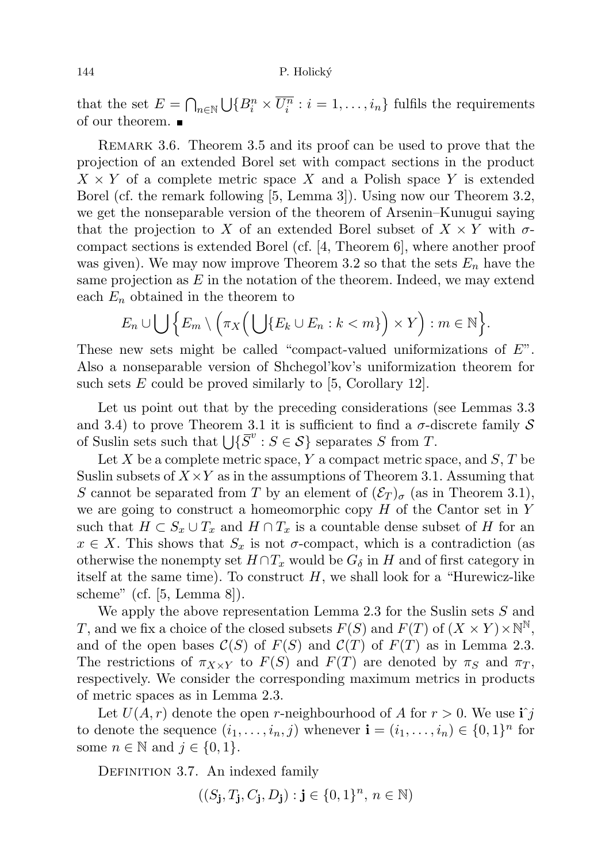that the set  $E = \bigcap_{n \in \mathbb{N}} \bigcup \{B_i^n \times \overline{U_i^n} : i = 1, \ldots, i_n\}$  fulfils the requirements of our theorem.

REMARK 3.6. Theorem 3.5 and its proof can be used to prove that the projection of an extended Borel set with compact sections in the product  $X \times Y$  of a complete metric space X and a Polish space Y is extended Borel (cf. the remark following [5, Lemma 3]). Using now our Theorem 3.2, we get the nonseparable version of the theorem of Arsenin–Kunugui saying that the projection to X of an extended Borel subset of  $X \times Y$  with  $\sigma$ compact sections is extended Borel (cf.  $[4,$  Theorem 6, where another proof was given). We may now improve Theorem 3.2 so that the sets  $E_n$  have the same projection as  $E$  in the notation of the theorem. Indeed, we may extend each  $E_n$  obtained in the theorem to

$$
E_n \cup \bigcup \Big\{ E_m \setminus \Big( \pi_X \Big( \bigcup \{ E_k \cup E_n : k < m \} \Big) \times Y \Big) : m \in \mathbb{N} \Big\}.
$$

These new sets might be called "compact-valued uniformizations of  $E$ ". Also a nonseparable version of Shchegol'kov's uniformization theorem for such sets  $E$  could be proved similarly to [5, Corollary 12].

Let us point out that by the preceding considerations (see Lemmas 3.3 and 3.4) to prove Theorem 3.1 it is sufficient to find a  $\sigma$ -discrete family S of Suslin sets such that  $\bigcup \{ \overline{S}^v : S \in \mathcal{S} \}$  separates S from T.

Let  $X$  be a complete metric space,  $Y$  a compact metric space, and  $S$ ,  $T$  be Suslin subsets of  $X \times Y$  as in the assumptions of Theorem 3.1. Assuming that S cannot be separated from T by an element of  $(\mathcal{E}_T)_{\sigma}$  (as in Theorem 3.1), we are going to construct a homeomorphic copy  $H$  of the Cantor set in Y such that  $H \subset S_x \cup T_x$  and  $H \cap T_x$  is a countable dense subset of H for an  $x \in X$ . This shows that  $S_x$  is not  $\sigma$ -compact, which is a contradiction (as otherwise the nonempty set  $H \cap T_x$  would be  $G_\delta$  in H and of first category in itself at the same time). To construct  $H$ , we shall look for a "Hurewicz-like" scheme" (cf. [5, Lemma 8]).

We apply the above representation Lemma 2.3 for the Suslin sets  $S$  and T, and we fix a choice of the closed subsets  $F(S)$  and  $F(T)$  of  $(X \times Y) \times \mathbb{N}^{\mathbb{N}},$ and of the open bases  $\mathcal{C}(S)$  of  $F(S)$  and  $\mathcal{C}(T)$  of  $F(T)$  as in Lemma 2.3. The restrictions of  $\pi_{X\times Y}$  to  $F(S)$  and  $F(T)$  are denoted by  $\pi_S$  and  $\pi_T$ , respectively. We consider the corresponding maximum metrics in products of metric spaces as in Lemma 2.3.

Let  $U(A, r)$  denote the open r-neighbourhood of A for  $r > 0$ . We use  $\mathbf{i} \hat{j}$ to denote the sequence  $(i_1, \ldots, i_n, j)$  whenever  $\mathbf{i} = (i_1, \ldots, i_n) \in \{0, 1\}^n$  for some  $n \in \mathbb{N}$  and  $j \in \{0, 1\}.$ 

DEFINITION 3.7. An indexed family

$$
((S_{\mathbf{j}}, T_{\mathbf{j}}, C_{\mathbf{j}}, D_{\mathbf{j}}) : \mathbf{j} \in \{0, 1\}^n, n \in \mathbb{N})
$$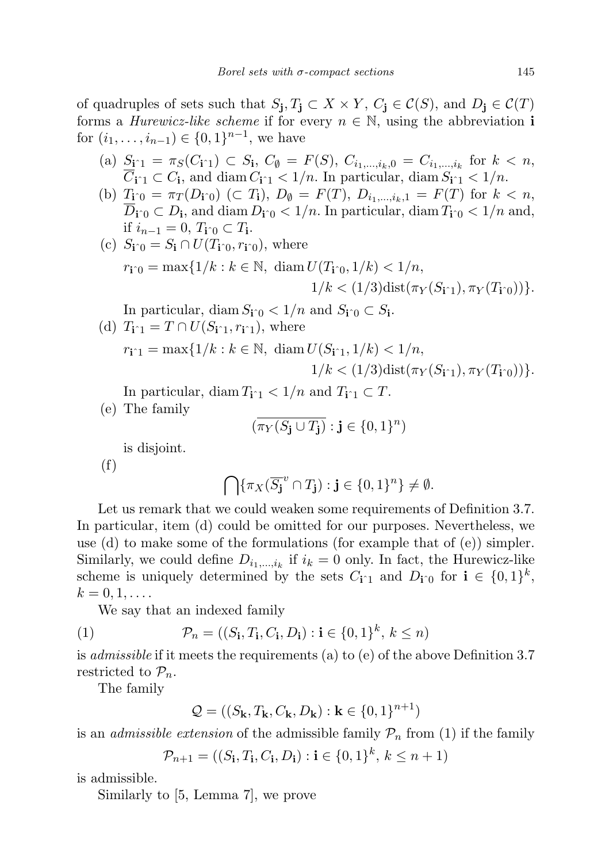of quadruples of sets such that  $S_j, T_j \subset X \times Y, C_j \in \mathcal{C}(S)$ , and  $D_j \in \mathcal{C}(T)$ forms a *Hurewicz-like scheme* if for every  $n \in \mathbb{N}$ , using the abbreviation i for  $(i_1, \ldots, i_{n-1}) \in \{0, 1\}^{n-1}$ , we have

- (a)  $S_{\mathbf{i}^{\uparrow}1} = \pi_S(C_{\mathbf{i}^{\uparrow}1}) \subset S_{\mathbf{i}}, C_{\emptyset} = F(S), C_{i_1,\dots,i_k,0} = C_{i_1,\dots,i_k}$  for  $k < n$ ,  $C_{\mathbf{i}\uparrow 1} \subset C_{\mathbf{i}}$ , and diam  $C_{\mathbf{i}\uparrow 1} < 1/n$ . In particular, diam  $S_{\mathbf{i}\uparrow 1} < 1/n$ .
- (b)  $T_{\mathbf{i}^{\,\,\circ}0} = \pi_T(D_{\mathbf{i}^{\,\circ}0}) \, (\subset T_{\mathbf{i}}), D_{\emptyset} = F(T), D_{i_1,\dots,i_k,1} = F(T) \text{ for } k < n,$  $D_{\mathbf{i}\hat{\mathbf{p}}} \subset D_{\mathbf{i}}$ , and diam  $D_{\mathbf{i}\hat{\mathbf{p}}} < 1/n$ . In particular, diam  $T_{\mathbf{i}\hat{\mathbf{p}}} < 1/n$  and, if  $i_{n-1} = 0, T_{i^0} \subset T_i$ .
- (c)  $S_{\mathbf{i}\hat{p}} = S_{\mathbf{i}} \cap U(T_{\mathbf{i}\hat{p}}, r_{\mathbf{i}\hat{p}})$ , where  $r_{\mathbf{i}\hat{p}} = \max\{1/k : k \in \mathbb{N}, \text{ diam } U(T_{\mathbf{i}\hat{p}}, 1/k) < 1/n,$  $1/k < (1/3)\text{dist}(\pi_Y(S_{i\uparrow 1}), \pi_Y(T_{i\uparrow 0}))$ .

In particular, diam  $S_{\mathbf{i}^{\wedge}0} < 1/n$  and  $S_{\mathbf{i}^{\wedge}0} \subset S_{\mathbf{i}}$ . (d)  $T_{\mathbf{i}\hat{ }}=T\cap U(S_{\mathbf{i}\hat{ }}r_{\mathbf{i}}\hat{ }r_{\mathbf{i}}\hat{ }r_{\mathbf{i}}),$  where

$$
r_{\mathbf{i} \cap \mathbf{1}} = \max\{1/k : k \in \mathbb{N}, \ \operatorname{diam} U(S_{\mathbf{i} \cap \mathbf{1}}, 1/k) < 1/n, \\
1/k < (1/3)\operatorname{dist}(\pi_Y(S_{\mathbf{i} \cap \mathbf{1}}), \pi_Y(T_{\mathbf{i} \cap \mathbf{0}}))\}.
$$

In particular, diam  $T_{i\hat{i}} < 1/n$  and  $T_{i\hat{i}} \subset T$ .

(e) The family

$$
(\overline{\pi_Y(S_{\mathbf{j}} \cup T_{\mathbf{j}})} : \mathbf{j} \in \{0, 1\}^n)
$$

is disjoint.

(f)

$$
\bigcap \{\pi_X(\overline{S}_{\mathbf{j}}^{v} \cap T_{\mathbf{j}}) : \mathbf{j} \in \{0,1\}^n\} \neq \emptyset.
$$

Let us remark that we could weaken some requirements of Definition 3.7. In particular, item (d) could be omitted for our purposes. Nevertheless, we use (d) to make some of the formulations (for example that of (e)) simpler. Similarly, we could define  $D_{i_1,\dots,i_k}$  if  $i_k = 0$  only. In fact, the Hurewicz-like scheme is uniquely determined by the sets  $C_{\mathbf{i}^n}$  and  $D_{\mathbf{i}^n}$  for  $\mathbf{i} \in \{0,1\}^k$ ,  $k=0,1,\ldots$ .

We say that an indexed family

(1) 
$$
\mathcal{P}_n = ((S_{\mathbf{i}}, T_{\mathbf{i}}, C_{\mathbf{i}}, D_{\mathbf{i}}) : \mathbf{i} \in \{0, 1\}^k, k \leq n)
$$

is *admissible* if it meets the requirements (a) to (e) of the above Definition 3.7 restricted to  $\mathcal{P}_n$ .

The family

$$
\mathcal{Q} = ((S_{\mathbf{k}}, T_{\mathbf{k}}, C_{\mathbf{k}}, D_{\mathbf{k}}) : \mathbf{k} \in \{0, 1\}^{n+1})
$$

is an *admissible extension* of the admissible family  $\mathcal{P}_n$  from (1) if the family

$$
\mathcal{P}_{n+1} = ((S_{\mathbf{i}}, T_{\mathbf{i}}, C_{\mathbf{i}}, D_{\mathbf{i}}) : \mathbf{i} \in \{0, 1\}^{k}, k \le n+1)
$$

is admissible.

Similarly to [5, Lemma 7], we prove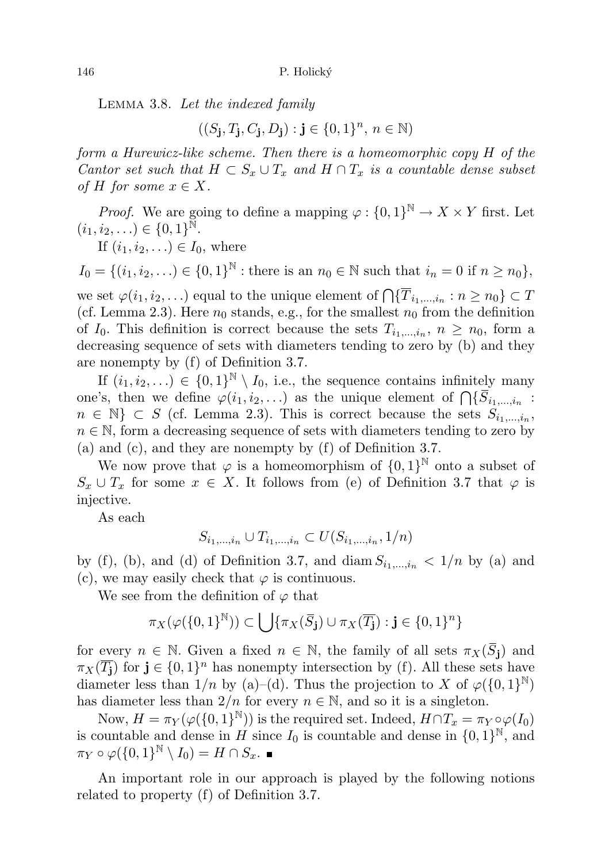Lemma 3.8. Let the indexed family

 $((S_j, T_j, C_j, D_j) : j \in \{0, 1\}^n, n \in \mathbb{N})$ 

form a Hurewicz-like scheme. Then there is a homeomorphic copy H of the Cantor set such that  $H \subset S_x \cup T_x$  and  $H \cap T_x$  is a countable dense subset of H for some  $x \in X$ .

*Proof.* We are going to define a mapping  $\varphi : \{0,1\}^{\mathbb{N}} \to X \times Y$  first. Let  $(i_1, i_2, \ldots) \in \{0, 1\}^{\tilde{\mathbb{N}}}$ .

If  $(i_1, i_2, \ldots) \in I_0$ , where

 $I_0 = \{(i_1, i_2, ...) \in \{0, 1\}^{\mathbb{N}} : \text{there is an } n_0 \in \mathbb{N} \text{ such that } i_n = 0 \text{ if } n \geq n_0\},\$ 

we set  $\varphi(i_1, i_2, \ldots)$  equal to the unique element of  $\bigcap \{T_{i_1,\ldots,i_n} : n \geq n_0\} \subset T$ (cf. Lemma 2.3). Here  $n_0$  stands, e.g., for the smallest  $n_0$  from the definition of  $I_0$ . This definition is correct because the sets  $T_{i_1,\dots,i_n}$ ,  $n \geq n_0$ , form a decreasing sequence of sets with diameters tending to zero by (b) and they are nonempty by (f) of Definition 3.7.

If  $(i_1, i_2, \ldots) \in \{0,1\}^{\mathbb{N}} \setminus I_0$ , i.e., the sequence contains infinitely many one's, then we define  $\varphi(i_1, i_2, \ldots)$  as the unique element of  $\bigcap \{S_{i_1,\ldots,i_n}$ :  $n \in \mathbb{N} \} \subset S$  (cf. Lemma 2.3). This is correct because the sets  $S_{i_1,...,i_n}$ ,  $n \in \mathbb{N}$ , form a decreasing sequence of sets with diameters tending to zero by (a) and (c), and they are nonempty by (f) of Definition 3.7.

We now prove that  $\varphi$  is a homeomorphism of  $\{0,1\}^{\mathbb{N}}$  onto a subset of  $S_x \cup T_x$  for some  $x \in X$ . It follows from (e) of Definition 3.7 that  $\varphi$  is injective.

As each

$$
S_{i_1,\dots,i_n} \cup T_{i_1,\dots,i_n} \subset U(S_{i_1,\dots,i_n}, 1/n)
$$

by (f), (b), and (d) of Definition 3.7, and diam  $S_{i_1,\dots,i_n} < 1/n$  by (a) and (c), we may easily check that  $\varphi$  is continuous.

We see from the definition of  $\varphi$  that

$$
\pi_X(\varphi(\{0,1\}^{\mathbb{N}}))\subset \bigcup\{\pi_X(\overline{S}_{\mathbf{j}})\cup\pi_X(\overline{T_{\mathbf{j}}}): \mathbf{j}\in\{0,1\}^n\}
$$

for every  $n \in \mathbb{N}$ . Given a fixed  $n \in \mathbb{N}$ , the family of all sets  $\pi_X(\overline{S}_i)$  and  $\pi_X(\overline{T_{\mathbf{j}}})$  for  $\mathbf{j} \in \{0,1\}^n$  has nonempty intersection by (f). All these sets have diameter less than  $1/n$  by (a)–(d). Thus the projection to X of  $\varphi({0,1})^{\mathbb{N}}$ has diameter less than  $2/n$  for every  $n \in \mathbb{N}$ , and so it is a singleton.

Now,  $H = \pi_Y(\varphi(\{0,1\}^{\mathbb{N}}))$  is the required set. Indeed,  $H \cap T_x = \pi_Y \circ \varphi(I_0)$ is countable and dense in H since  $I_0$  is countable and dense in  $\{0,1\}^{\mathbb{N}},$  and  $\pi_Y \circ \varphi(\{0,1\}^{\mathbb{N}} \setminus I_0) = H \cap S_x.$ 

An important role in our approach is played by the following notions related to property (f) of Definition 3.7.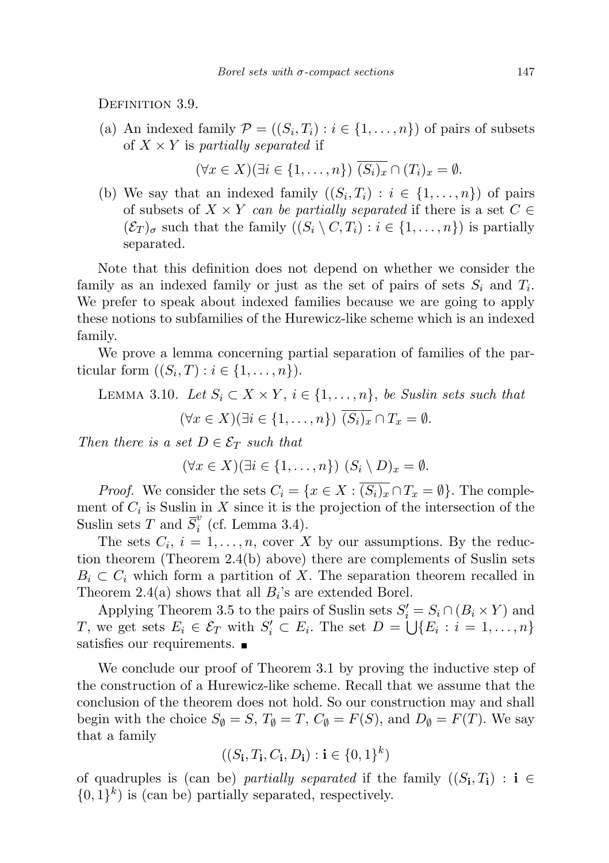DEFINITION 3.9.

(a) An indexed family  $\mathcal{P} = ((S_i, T_i) : i \in \{1, ..., n\})$  of pairs of subsets of  $X \times Y$  is partially separated if

$$
(\forall x \in X)(\exists i \in \{1, \ldots, n\}) \overline{(S_i)_x} \cap (T_i)_x = \emptyset.
$$

(b) We say that an indexed family  $((S_i, T_i) : i \in \{1, ..., n\})$  of pairs of subsets of  $X \times Y$  can be partially separated if there is a set  $C \in$  $(\mathcal{E}_T)_{\sigma}$  such that the family  $((S_i \setminus C, T_i) : i \in \{1, ..., n\})$  is partially separated.

Note that this definition does not depend on whether we consider the family as an indexed family or just as the set of pairs of sets  $S_i$  and  $T_i$ . We prefer to speak about indexed families because we are going to apply these notions to subfamilies of the Hurewicz-like scheme which is an indexed family.

We prove a lemma concerning partial separation of families of the particular form  $((S_i, T) : i \in \{1, \ldots, n\}).$ 

LEMMA 3.10. Let  $S_i \subset X \times Y$ ,  $i \in \{1, \ldots, n\}$ , be Suslin sets such that  $(\forall x \in X)(\exists i \in \{1,\ldots,n\}) \ \overline{(S_i)_x} \cap T_x = \emptyset.$ 

Then there is a set  $D \in \mathcal{E}_T$  such that

$$
(\forall x \in X)(\exists i \in \{1, \ldots, n\}) (S_i \setminus D)_x = \emptyset.
$$

*Proof.* We consider the sets  $C_i = \{x \in X : \overline{(S_i)_x} \cap T_x = \emptyset\}$ . The complement of  $C_i$  is Suslin in X since it is the projection of the intersection of the Suslin sets T and  $\overline{S}_i^v$  $i \text{ (cf. Lemma 3.4).}$ 

The sets  $C_i$ ,  $i = 1, ..., n$ , cover X by our assumptions. By the reduction theorem (Theorem 2.4(b) above) there are complements of Suslin sets  $B_i \subset C_i$  which form a partition of X. The separation theorem recalled in Theorem 2.4(a) shows that all  $B_i$ 's are extended Borel.

Applying Theorem 3.5 to the pairs of Suslin sets  $S_i' = S_i \cap (B_i \times Y)$  and T, we get sets  $E_i \in \mathcal{E}_T$  with  $S_i' \subset E_i$ . The set  $D = \bigcup \{E_i : i = 1, \ldots, n\}$ satisfies our requirements.

We conclude our proof of Theorem 3.1 by proving the inductive step of the construction of a Hurewicz-like scheme. Recall that we assume that the conclusion of the theorem does not hold. So our construction may and shall begin with the choice  $S_{\emptyset} = S$ ,  $T_{\emptyset} = T$ ,  $C_{\emptyset} = F(S)$ , and  $D_{\emptyset} = F(T)$ . We say that a family

$$
((S_{\mathbf{i}},T_{\mathbf{i}},C_{\mathbf{i}},D_{\mathbf{i}}): \mathbf{i} \in \{0,1\}^{k})
$$

of quadruples is (can be) partially separated if the family  $((S_i, T_i) : i \in$  $\{0,1\}^k$ ) is (can be) partially separated, respectively.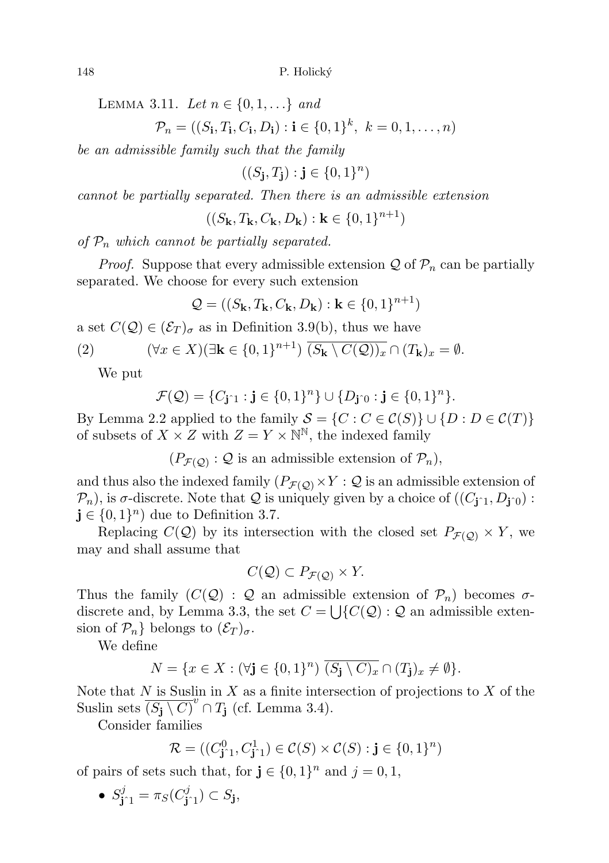LEMMA 3.11. Let  $n \in \{0, 1, ...\}$  and

$$
\mathcal{P}_n = ((S_{\mathbf{i}}, T_{\mathbf{i}}, C_{\mathbf{i}}, D_{\mathbf{i}}) : \mathbf{i} \in \{0, 1\}^k, \ k = 0, 1, \dots, n)
$$

be an admissible family such that the family

 $((S_{\mathbf{j}}, T_{\mathbf{j}}) : \mathbf{j} \in \{0, 1\}^n)$ 

cannot be partially separated. Then there is an admissible extension

 $((S_{\mathbf{k}},T_{\mathbf{k}},C_{\mathbf{k}},D_{\mathbf{k}}): \mathbf{k} \in \{0,1\}^{n+1})$ 

of  $P_n$  which cannot be partially separated.

*Proof.* Suppose that every admissible extension  $\mathcal Q$  of  $\mathcal P_n$  can be partially separated. We choose for every such extension

$$
\mathcal{Q} = ((S_\mathbf{k}, T_\mathbf{k}, C_\mathbf{k}, D_\mathbf{k}) : \mathbf{k} \in \{0, 1\}^{n+1})
$$

a set  $C(Q) \in (\mathcal{E}_T)_{\sigma}$  as in Definition 3.9(b), thus we have

(2) 
$$
(\forall x \in X)(\exists \mathbf{k} \in \{0,1\}^{n+1}) \overline{(S_{\mathbf{k}} \setminus C(\mathcal{Q}))_x} \cap (T_{\mathbf{k}})_x = \emptyset.
$$

We put

$$
\mathcal{F}(\mathcal{Q}) = \{C_{\mathbf{j} \cap 1} : \mathbf{j} \in \{0,1\}^n\} \cup \{D_{\mathbf{j} \cap 0} : \mathbf{j} \in \{0,1\}^n\}.
$$

By Lemma 2.2 applied to the family  $S = \{C : C \in C(S)\} \cup \{D : D \in C(T)\}\$ of subsets of  $X \times Z$  with  $Z = Y \times \mathbb{N}^{\mathbb{N}}$ , the indexed family

 $(P_{\mathcal{F}(\mathcal{Q})}: \mathcal{Q}$  is an admissible extension of  $\mathcal{P}_n$ ,

and thus also the indexed family  $(P_{\mathcal{F}(\mathcal{Q})} \times Y : \mathcal{Q})$  is an admissible extension of  $\mathcal{P}_n$ ), is  $\sigma$ -discrete. Note that  $\mathcal Q$  is uniquely given by a choice of  $((C_{\mathbf{j}^n}, D_{\mathbf{j}^n})$ :  $\mathbf{j} \in \{0,1\}^n$  due to Definition 3.7.

Replacing  $C(\mathcal{Q})$  by its intersection with the closed set  $P_{\mathcal{F}(\mathcal{Q})} \times Y$ , we may and shall assume that

$$
C(\mathcal{Q}) \subset P_{\mathcal{F}(\mathcal{Q})} \times Y.
$$

Thus the family  $(C(Q) : Q$  an admissible extension of  $\mathcal{P}_n$ ) becomes  $\sigma$ discrete and, by Lemma 3.3, the set  $C = \bigcup \{C(\mathcal{Q}) : \mathcal{Q}$  an admissible extension of  $\mathcal{P}_n$  belongs to  $(\mathcal{E}_T)_{\sigma}$ .

We define

$$
N = \{x \in X : (\forall \mathbf{j} \in \{0,1\}^n) \ \overline{(S_{\mathbf{j}} \setminus C)_x} \cap (T_{\mathbf{j}})_x \neq \emptyset\}.
$$

Note that  $N$  is Suslin in  $X$  as a finite intersection of projections to  $X$  of the Suslin sets  $(S_j \setminus C)^v \cap T_j$  (cf. Lemma 3.4).

Consider families

$$
\mathcal{R} = ((C^0_{\mathbf{j} \cap 1}, C^1_{\mathbf{j} \cap 1}) \in \mathcal{C}(S) \times \mathcal{C}(S) : \mathbf{j} \in \{0, 1\}^n)
$$

of pairs of sets such that, for  $\mathbf{j} \in \{0,1\}^n$  and  $j = 0, 1$ ,

• 
$$
S_{\mathbf{j} \cap 1}^j = \pi_S(C_{\mathbf{j} \cap 1}^j) \subset S_{\mathbf{j}},
$$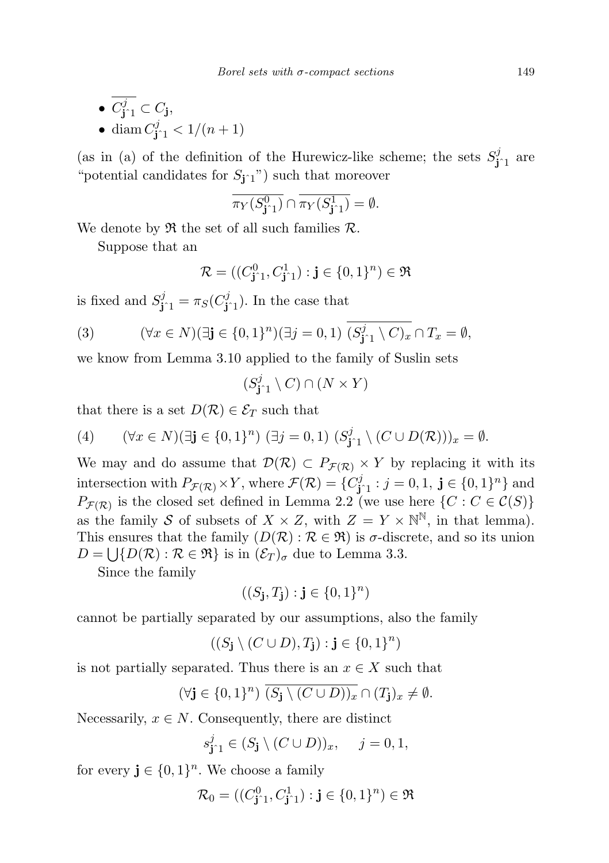\n- $$
\overline{C_{\mathbf{j}^{\gamma_1}}^j} \subset C_{\mathbf{j}},
$$
\n- $\text{diam } C_{\mathbf{j}^{\gamma_1}}^j < 1/(n+1)$
\n

(as in (a) of the definition of the Hurewicz-like scheme; the sets  $S_{j_1}^j$  are "potential candidates for  $S_{j^1}$ ") such that moreover

$$
\overline{\pi_Y(S^0_{\mathbf{j}^\wedge 1})} \cap \overline{\pi_Y(S^1_{\mathbf{j}^\wedge 1})} = \emptyset.
$$

We denote by  $\mathfrak{R}$  the set of all such families  $\mathcal{R}$ .

Suppose that an

$$
\mathcal{R} = ((C^0_{\mathbf{j} \hat{\;} 1}, C^1_{\mathbf{j} \hat{\;} 1}) : \mathbf{j} \in \{0,1\}^n) \in \Re
$$

is fixed and  $S_{\mathbf{j}^{\uparrow}1}^{j} = \pi_S(C_{\mathbf{j}^{\uparrow}1}^{j})$ . In the case that

(3) 
$$
(\forall x \in N)(\exists \mathbf{j} \in \{0,1\}^n)(\exists j=0,1) (S_{\mathbf{j}^{\prime}1}^j \setminus C)_x \cap T_x = \emptyset,
$$

we know from Lemma 3.10 applied to the family of Suslin sets

$$
(S^j_{\mathbf{j} \hat{\;} 1} \setminus C) \cap (N \times Y)
$$

that there is a set  $D(\mathcal{R}) \in \mathcal{E}_T$  such that

(4) 
$$
(\forall x \in N)(\exists \mathbf{j} \in \{0,1\}^n) (\exists j = 0,1) (S_{\mathbf{j}^{\prime}1}^j \setminus (C \cup D(\mathcal{R})))_x = \emptyset.
$$

We may and do assume that  $\mathcal{D}(\mathcal{R}) \subset P_{\mathcal{F}(\mathcal{R})} \times Y$  by replacing it with its intersection with  $P_{\mathcal{F}(\mathcal{R})} \times Y$ , where  $\mathcal{F}(\mathcal{R}) = \{C_{\mathbf{j}^2,1}^j : j = 0,1, \mathbf{j} \in \{0,1\}^n\}$  and  $P_{\mathcal{F}(\mathcal{R})}$  is the closed set defined in Lemma 2.2 (we use here  $\{C : C \in \mathcal{C}(S)\}\$ as the family S of subsets of  $X \times Z$ , with  $Z = Y \times \mathbb{N}^{\mathbb{N}}$ , in that lemma). This ensures that the family  $(D(\mathcal{R}) : \mathcal{R} \in \mathfrak{R})$  is  $\sigma$ -discrete, and so its union  $D = \bigcup \{ D(R) : R \in \mathfrak{R} \}$  is in  $(\mathcal{E}_T)_{\sigma}$  due to Lemma 3.3.

Since the family

$$
((S_{\mathbf{j}},T_{\mathbf{j}}):\mathbf{j}\in\{0,1\}^n)
$$

cannot be partially separated by our assumptions, also the family

$$
((S_{\mathbf{j}} \setminus (C \cup D), T_{\mathbf{j}}) : \mathbf{j} \in \{0, 1\}^n)
$$

is not partially separated. Thus there is an  $x \in X$  such that

$$
(\forall j \in \{0,1\}^n) \ \overline{(S_j \setminus (C \cup D))_x} \cap (T_j)_x \neq \emptyset.
$$

Necessarily,  $x \in N$ . Consequently, there are distinct

$$
s_{\mathbf{j}^{\uparrow}1}^{j} \in (S_{\mathbf{j}} \setminus (C \cup D))_{x}, \quad j = 0, 1,
$$

for every  $\mathbf{j} \in \{0,1\}^n$ . We choose a family

$$
\mathcal{R}_0 = ((C^0_{\mathbf{j} \cap 1}, C^1_{\mathbf{j} \cap 1}) : \mathbf{j} \in \{0, 1\}^n) \in \mathfrak{R}
$$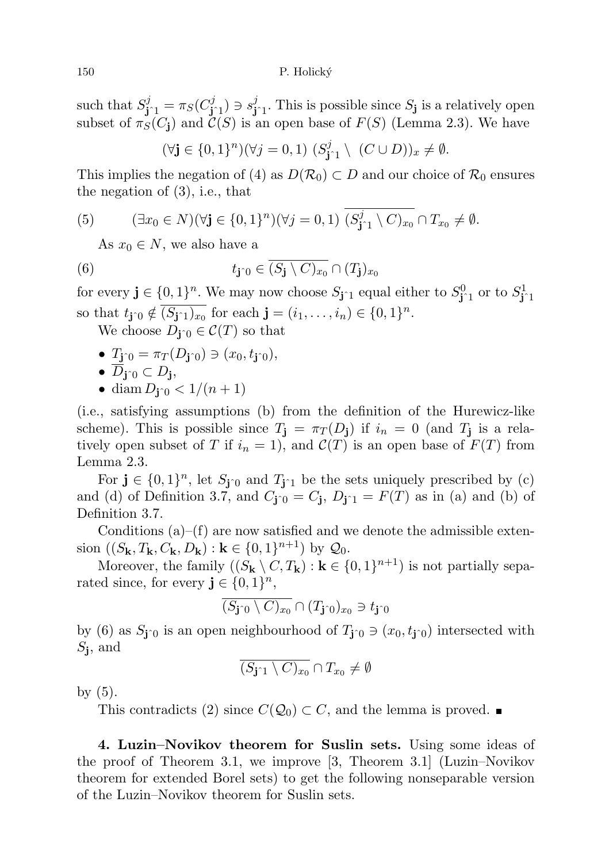such that  $S_{\mathbf{j}^{\hat{}}1}^j = \pi_S(C_{\mathbf{j}^{\hat{}}1}^j) \ni s_{\mathbf{j}^{\hat{}}1}^j$ . This is possible since  $S_{\mathbf{j}}$  is a relatively open subset of  $\pi_S(C_i)$  and  $\mathcal{C}(S)$  is an open base of  $F(S)$  (Lemma 2.3). We have

 $(\forall \mathbf{j} \in \{0,1\}^n)(\forall j = 0,1)$   $(S_{\mathbf{j}^{\gamma}1}^j \setminus (C \cup D))_x \neq \emptyset$ .

This implies the negation of (4) as  $D(\mathcal{R}_0) \subset D$  and our choice of  $\mathcal{R}_0$  ensures the negation of (3), i.e., that

(5) 
$$
(\exists x_0 \in N)(\forall \mathbf{j} \in \{0,1\}^n)(\forall j = 0,1) (S_{\mathbf{j}^1}^j \setminus C)_{x_0} \cap T_{x_0} \neq \emptyset.
$$

As  $x_0 \in N$ , we also have a

(6) 
$$
t_{\mathbf{j}\,\widehat{\,}}\in \overline{(S_{\mathbf{j}}\setminus C)_{x_0}}\cap (T_{\mathbf{j}})_{x_0}
$$

for every  $\mathbf{j} \in \{0,1\}^n$ . We may now choose  $S_{\mathbf{j} \cap 1}$  equal either to  $S_{\mathbf{j} \cap 1}^0$  or to  $S_{\mathbf{j} \cap 1}^1$ so that  $t_{\mathbf{j}\circ 0} \notin \overline{(S_{\mathbf{j} \circ 1})_{x_0}}$  for each  $\mathbf{j} = (i_1, \ldots, i_n) \in \{0, 1\}^n$ .

We choose  $D_{\mathbf{i}\uparrow 0} \in \mathcal{C}(T)$  so that

•  $T_{\mathbf{i}^{\gamma}0} = \pi_T(D_{\mathbf{i}^{\gamma}0}) \ni (x_0, t_{\mathbf{i}^{\gamma}0}),$ 

$$
\bullet \ \overline{D}_{\mathbf{j}^\gamma 0} \subset D_{\mathbf{j}},
$$

• diam  $D_{j^0} < 1/(n+1)$ 

(i.e., satisfying assumptions (b) from the definition of the Hurewicz-like scheme). This is possible since  $T_{\mathbf{j}} = \pi_T(D_{\mathbf{j}})$  if  $i_n = 0$  (and  $T_{\mathbf{j}}$  is a relatively open subset of T if  $i_n = 1$ , and  $\mathcal{C}(T)$  is an open base of  $F(T)$  from Lemma 2.3.

For  $\mathbf{j} \in \{0,1\}^n$ , let  $S_{\mathbf{j}^{\wedge}0}$  and  $T_{\mathbf{j}^{\wedge}1}$  be the sets uniquely prescribed by (c) and (d) of Definition 3.7, and  $C_{\mathbf{j}^{\dagger}0} = C_{\mathbf{j}}$ ,  $D_{\mathbf{j}^{\dagger}1} = F(T)$  as in (a) and (b) of Definition 3.7.

Conditions  $(a)$ – $(f)$  are now satisfied and we denote the admissible extension  $((S_{\mathbf{k}}, T_{\mathbf{k}}, C_{\mathbf{k}}, D_{\mathbf{k}}) : \mathbf{k} \in \{0, 1\}^{n+1})$  by  $\mathcal{Q}_0$ .

Moreover, the family  $((S_{\mathbf{k}} \setminus C, T_{\mathbf{k}}) : \mathbf{k} \in \{0, 1\}^{n+1})$  is not partially separated since, for every  $\mathbf{j} \in \{0,1\}^n$ ,

$$
\overline{(S_{\mathbf{j}\hat{}}\circlearrowright\setminus C)_{x_0}}\cap (T_{\mathbf{j}\hat{}}\circlearrowright)_{x_0}\ni t_{\mathbf{j}\hat{}}\circlearrowright
$$

by (6) as  $S_{j\hat{0}}$  is an open neighbourhood of  $T_{j\hat{0}} \ni (x_0, t_{j\hat{0}})$  intersected with  $S_j$ , and

$$
\overline{(S_{\mathbf{j} \hat{\;} 1} \setminus C)_{x_0}} \cap T_{x_0} \neq \emptyset
$$

by (5).

This contradicts (2) since  $C(\mathcal{Q}_0) \subset C$ , and the lemma is proved.

4. Luzin–Novikov theorem for Suslin sets. Using some ideas of the proof of Theorem 3.1, we improve [3, Theorem 3.1] (Luzin–Novikov theorem for extended Borel sets) to get the following nonseparable version of the Luzin–Novikov theorem for Suslin sets.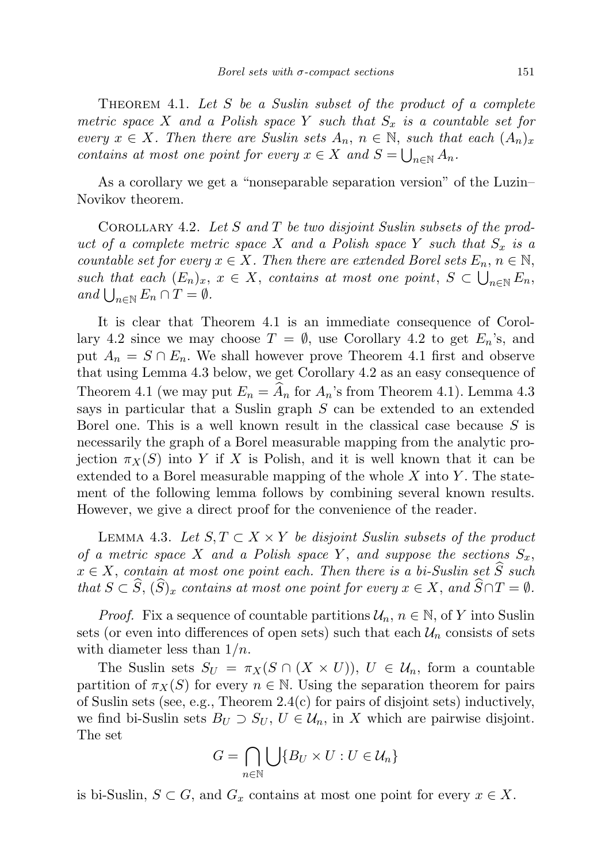THEOREM 4.1. Let  $S$  be a Suslin subset of the product of a complete metric space X and a Polish space Y such that  $S_x$  is a countable set for every  $x \in X$ . Then there are Suslin sets  $A_n$ ,  $n \in \mathbb{N}$ , such that each  $(A_n)_x$ contains at most one point for every  $x \in X$  and  $S = \bigcup_{n \in \mathbb{N}} A_n$ .

As a corollary we get a "nonseparable separation version" of the Luzin– Novikov theorem.

COROLLARY 4.2. Let  $S$  and  $T$  be two disjoint Suslin subsets of the product of a complete metric space X and a Polish space Y such that  $S_x$  is a countable set for every  $x \in X$ . Then there are extended Borel sets  $E_n$ ,  $n \in \mathbb{N}$ , such that each  $(E_n)_x$ ,  $x \in X$ , contains at most one point,  $S \subset \bigcup_{n \in \mathbb{N}} E_n$ , and  $\bigcup_{n\in\mathbb{N}} E_n \cap T = \emptyset$ .

It is clear that Theorem 4.1 is an immediate consequence of Corollary 4.2 since we may choose  $T = \emptyset$ , use Corollary 4.2 to get  $E_n$ 's, and put  $A_n = S \cap E_n$ . We shall however prove Theorem 4.1 first and observe that using Lemma 4.3 below, we get Corollary 4.2 as an easy consequence of Theorem 4.1 (we may put  $E_n = \hat{A}_n$  for  $A_n$ 's from Theorem 4.1). Lemma 4.3 says in particular that a Suslin graph S can be extended to an extended Borel one. This is a well known result in the classical case because  $S$  is necessarily the graph of a Borel measurable mapping from the analytic projection  $\pi_X(S)$  into Y if X is Polish, and it is well known that it can be extended to a Borel measurable mapping of the whole  $X$  into  $Y$ . The statement of the following lemma follows by combining several known results. However, we give a direct proof for the convenience of the reader.

LEMMA 4.3. Let  $S, T \subset X \times Y$  be disjoint Suslin subsets of the product of a metric space X and a Polish space Y, and suppose the sections  $S_x$ ,  $x \in X$ , contain at most one point each. Then there is a bi-Suslin set  $\widehat{S}$  such that  $S \subset \widehat{S}$ ,  $(\widehat{S})_x$  contains at most one point for every  $x \in X$ , and  $\widehat{S} \cap T = \emptyset$ .

*Proof.* Fix a sequence of countable partitions  $\mathcal{U}_n$ ,  $n \in \mathbb{N}$ , of Y into Suslin sets (or even into differences of open sets) such that each  $\mathcal{U}_n$  consists of sets with diameter less than  $1/n$ .

The Suslin sets  $S_U = \pi_X(S \cap (X \times U))$ ,  $U \in \mathcal{U}_n$ , form a countable partition of  $\pi_X(S)$  for every  $n \in \mathbb{N}$ . Using the separation theorem for pairs of Suslin sets (see, e.g., Theorem 2.4(c) for pairs of disjoint sets) inductively, we find bi-Suslin sets  $B_U \supset S_U$ ,  $U \in \mathcal{U}_n$ , in X which are pairwise disjoint. The set

$$
G = \bigcap_{n \in \mathbb{N}} \bigcup \{ B_U \times U : U \in \mathcal{U}_n \}
$$

is bi-Suslin,  $S \subset G$ , and  $G_x$  contains at most one point for every  $x \in X$ .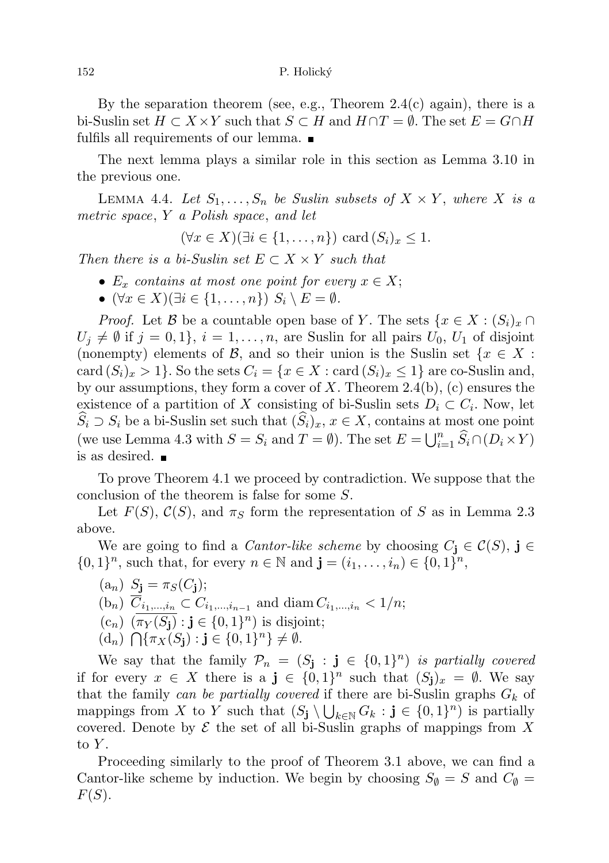152 P. Holický

By the separation theorem (see, e.g., Theorem  $2.4(c)$  again), there is a bi-Suslin set  $H \subset X \times Y$  such that  $S \subset H$  and  $H \cap T = \emptyset$ . The set  $E = G \cap H$ fulfils all requirements of our lemma.  $\blacksquare$ 

The next lemma plays a similar role in this section as Lemma 3.10 in the previous one.

LEMMA 4.4. Let  $S_1, \ldots, S_n$  be Suslin subsets of  $X \times Y$ , where X is a metric space, Y a Polish space, and let

$$
(\forall x \in X)(\exists i \in \{1, \ldots, n\}) \text{ card } (S_i)_x \leq 1.
$$

Then there is a bi-Suslin set  $E \subset X \times Y$  such that

- $E_x$  contains at most one point for every  $x \in X$ ;
- $(\forall x \in X)(\exists i \in \{1, \ldots, n\}) S_i \setminus E = \emptyset.$

*Proof.* Let B be a countable open base of Y. The sets  $\{x \in X : (S_i)_x \cap$  $U_j \neq \emptyset$  if  $j = 0, 1$ ,  $i = 1, \ldots, n$ , are Suslin for all pairs  $U_0, U_1$  of disjoint (nonempty) elements of B, and so their union is the Suslin set  $\{x \in X :$ card  $(S_i)_x > 1$ . So the sets  $C_i = \{x \in X : \text{card}(S_i)_x \leq 1\}$  are co-Suslin and, by our assumptions, they form a cover of  $X$ . Theorem 2.4(b), (c) ensures the existence of a partition of X consisting of bi-Suslin sets  $D_i \subset C_i$ . Now, let  $\widehat{S}_i \supset S_i$  be a bi-Suslin set such that  $(\widehat{S}_i)_x, x \in X$ , contains at most one point (we use Lemma 4.3 with  $S = S_i$  and  $T = \emptyset$ ). The set  $E = \bigcup_{i=1}^n \widehat{S}_i \cap (D_i \times Y)$ is as desired.

To prove Theorem 4.1 we proceed by contradiction. We suppose that the conclusion of the theorem is false for some S.

Let  $F(S)$ ,  $\mathcal{C}(S)$ , and  $\pi_S$  form the representation of S as in Lemma 2.3 above.

We are going to find a *Cantor-like scheme* by choosing  $C_j \in \mathcal{C}(S)$ ,  $j \in$  $\{0,1\}^n$ , such that, for every  $n \in \mathbb{N}$  and  $\mathbf{j} = (i_1, \ldots, i_n) \in \{0,1\}^n$ ,

(a<sub>n</sub>)  $S_{\mathbf{j}} = \pi_S(C_{\mathbf{j}});$  $(b_n)$   $C_{i_1,...,i_n} \subset C_{i_1,...,i_{n-1}}$  and  $\text{diam } C_{i_1,...,i_n} < 1/n;$  $(c_n)$   $(\overline{\pi_Y(S_j)} : j \in \{0,1\}^n)$  is disjoint;  $(d_n) \bigcap {\{\pi_X(S_j) : j \in \{0,1\}^n\}} \neq \emptyset.$ 

We say that the family  $\mathcal{P}_n = (S_j : j \in \{0,1\}^n)$  is partially covered if for every  $x \in X$  there is a  $\mathbf{j} \in \{0,1\}^n$  such that  $(S_{\mathbf{j}})_x = \emptyset$ . We say that the family can be partially covered if there are bi-Suslin graphs  $G_k$  of mappings from X to Y such that  $(S_j \setminus \bigcup_{k \in \mathbb{N}} G_k : j \in \{0,1\}^n)$  is partially covered. Denote by  $\mathcal E$  the set of all bi-Suslin graphs of mappings from X to  $Y$ .

Proceeding similarly to the proof of Theorem 3.1 above, we can find a Cantor-like scheme by induction. We begin by choosing  $S_{\emptyset} = S$  and  $C_{\emptyset} =$  $F(S)$ .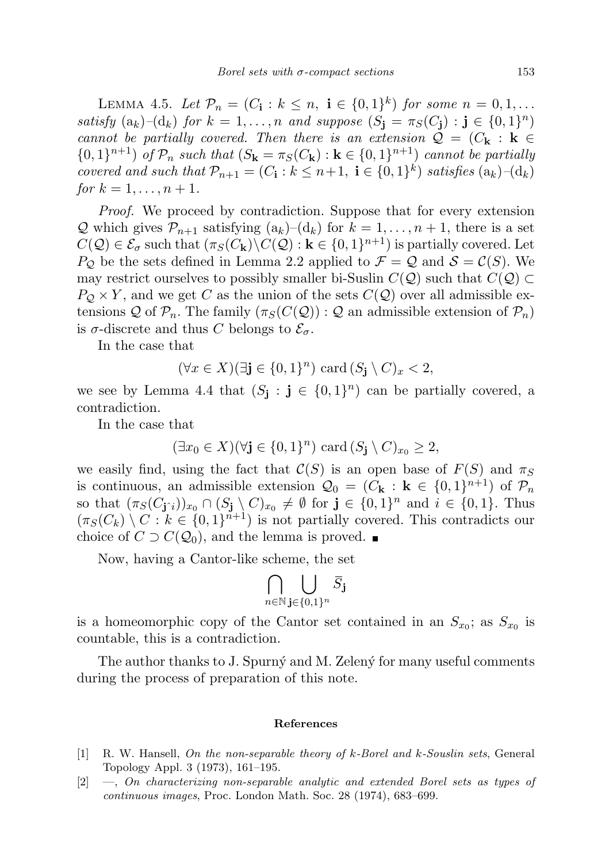LEMMA 4.5. Let  $\mathcal{P}_n = (C_{\mathbf{i}} : k \leq n, \; \mathbf{i} \in \{0,1\}^k)$  for some  $n = 0, 1, ...$ satisfy  $(a_k)$ - $(d_k)$  for  $k = 1, ..., n$  and suppose  $(S_j = \pi_S(C_j) : j \in \{0,1\}^n)$ cannot be partially covered. Then there is an extension  $\mathcal{Q} = (C_{\mathbf{k}} : \mathbf{k} \in$  $\{0,1\}^{n+1}$  of  $\mathcal{P}_n$  such that  $(S_{\mathbf{k}} = \pi_S(C_{\mathbf{k}}) : \mathbf{k} \in \{0,1\}^{n+1})$  cannot be partially covered and such that  $\mathcal{P}_{n+1} = (C_i : k \leq n+1, i \in \{0,1\}^k)$  satisfies  $(a_k)$ - $(d_k)$ for  $k = 1, ..., n + 1$ .

Proof. We proceed by contradiction. Suppose that for every extension Q which gives  $\mathcal{P}_{n+1}$  satisfying  $(a_k)$ – $(d_k)$  for  $k = 1, ..., n+1$ , there is a set  $C(\mathcal{Q}) \in \mathcal{E}_{\sigma}$  such that  $(\pi_S(C_{\mathbf{k}}) \backslash C(\mathcal{Q}) : \mathbf{k} \in \{0,1\}^{n+1})$  is partially covered. Let  $P_{\mathcal{Q}}$  be the sets defined in Lemma 2.2 applied to  $\mathcal{F} = \mathcal{Q}$  and  $\mathcal{S} = \mathcal{C}(S)$ . We may restrict ourselves to possibly smaller bi-Suslin  $C(Q)$  such that  $C(Q) \subset$  $P_Q \times Y$ , and we get C as the union of the sets  $C(Q)$  over all admissible extensions Q of  $\mathcal{P}_n$ . The family  $(\pi_S(C(\mathcal{Q})) : \mathcal{Q}$  an admissible extension of  $\mathcal{P}_n$ ) is  $\sigma$ -discrete and thus C belongs to  $\mathcal{E}_{\sigma}$ .

In the case that

$$
(\forall x \in X)(\exists \mathbf{j} \in \{0,1\}^n) \text{ card } (S_{\mathbf{j}} \setminus C)_x < 2,
$$

we see by Lemma 4.4 that  $(S_j : j \in \{0,1\}^n)$  can be partially covered, a contradiction.

In the case that

$$
(\exists x_0 \in X)(\forall \mathbf{j} \in \{0,1\}^n) \text{ card } (S_{\mathbf{j}} \setminus C)_{x_0} \geq 2,
$$

we easily find, using the fact that  $\mathcal{C}(S)$  is an open base of  $F(S)$  and  $\pi_S$ is continuous, an admissible extension  $\mathcal{Q}_0 = (C_{\mathbf{k}} : \mathbf{k} \in \{0,1\}^{n+1})$  of  $\mathcal{P}_n$ so that  $(\pi_S(C_{\mathbf{j} \hat{\cdot} i}))_{x_0} \cap (S_{\mathbf{j}} \setminus C)_{x_0} \neq \emptyset$  for  $\mathbf{j} \in \{0,1\}^n$  and  $i \in \{0,1\}$ . Thus  $(\pi_S(C_k) \setminus C : k \in \{0,1\}^{n+1})$  is not partially covered. This contradicts our choice of  $C \supset C(Q_0)$ , and the lemma is proved.

Now, having a Cantor-like scheme, the set

$$
\bigcap_{n\in\mathbb{N}}\bigcup_{\mathbf{j}\in\{0,1\}^n}\bar{S}_{\mathbf{j}}
$$

is a homeomorphic copy of the Cantor set contained in an  $S_{x_0}$ ; as  $S_{x_0}$  is countable, this is a contradiction.

The author thanks to J. Spurny and M. Zeleny for many useful comments during the process of preparation of this note.

## References

- [1] R. W. Hansell, On the non-separable theory of k-Borel and k-Souslin sets, General Topology Appl. 3 (1973), 161–195.
- [2] —, On characterizing non-separable analytic and extended Borel sets as types of continuous images, Proc. London Math. Soc. 28 (1974), 683–699.